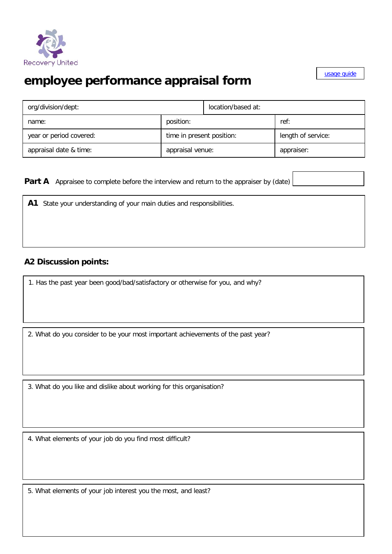

## **employee performance appraisal form**

[usage guide](http://www.businessballs.com/performanceappraisals.htm)

| org/division/dept:      | location/based at:        |  |                    |  |
|-------------------------|---------------------------|--|--------------------|--|
| name:                   | position:                 |  | ref:               |  |
| year or period covered: | time in present position: |  | length of service: |  |
| appraisal date & time:  | appraisal venue:          |  | appraiser:         |  |

**Part A** Appraisee to complete before the interview and return to the appraiser by (date)

**A1** State your understanding of your main duties and responsibilities.

## **A2 Discussion points:**

1. Has the past year been good/bad/satisfactory or otherwise for you, and why?

2. What do you consider to be your most important achievements of the past year?

3. What do you like and dislike about working for this organisation?

4. What elements of your job do you find most difficult?

5. What elements of your job interest you the most, and least?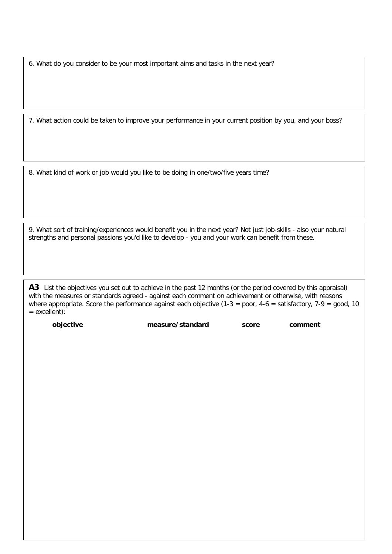6. What do you consider to be your most important aims and tasks in the next year?

7. What action could be taken to improve your performance in your current position by you, and your boss?

8. What kind of work or job would you like to be doing in one/two/five years time?

9. What sort of training/experiences would benefit you in the next year? Not just job-skills - also your natural strengths and personal passions you'd like to develop - you and your work can benefit from these.

A3 List the objectives you set out to achieve in the past 12 months (or the period covered by this appraisal) with the measures or standards agreed - against each comment on achievement or otherwise, with reasons where appropriate. Score the performance against each objective  $(1-3 = poor, 4-6 =$  satisfactory,  $7-9 = qood, 10$ = excellent):

**objective measure/standard score comment**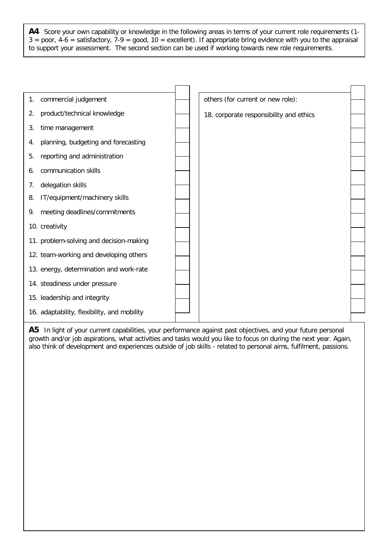**A4** Score your own capability or knowledge in the following areas in terms of your current role requirements (1-  $3 =$  poor,  $4-6 =$  satisfactory,  $7-9 =$  good,  $10 =$  excellent). If appropriate bring evidence with you to the appraisal to support your assessment. The second section can be used if working towards new role requirements.

| 1. | commercial judgement                        | others (for current or new role):       |  |
|----|---------------------------------------------|-----------------------------------------|--|
| 2. | product/technical knowledge                 | 18. corporate responsibility and ethics |  |
| 3. | time management                             |                                         |  |
| 4. | planning, budgeting and forecasting         |                                         |  |
| 5. | reporting and administration                |                                         |  |
| 6. | communication skills                        |                                         |  |
| 7. | delegation skills                           |                                         |  |
| 8. | IT/equipment/machinery skills               |                                         |  |
| 9. | meeting deadlines/commitments               |                                         |  |
|    | 10. creativity                              |                                         |  |
|    | 11. problem-solving and decision-making     |                                         |  |
|    | 12. team-working and developing others      |                                         |  |
|    | 13. energy, determination and work-rate     |                                         |  |
|    | 14. steadiness under pressure               |                                         |  |
|    | 15. leadership and integrity                |                                         |  |
|    |                                             |                                         |  |
|    | 16. adaptability, flexibility, and mobility |                                         |  |

A5 In light of your current capabilities, your performance against past objectives, and your future personal growth and/or job aspirations, what activities and tasks would you like to focus on during the next year. Again, also think of development and experiences outside of job skills - related to personal aims, fulfilment, passions.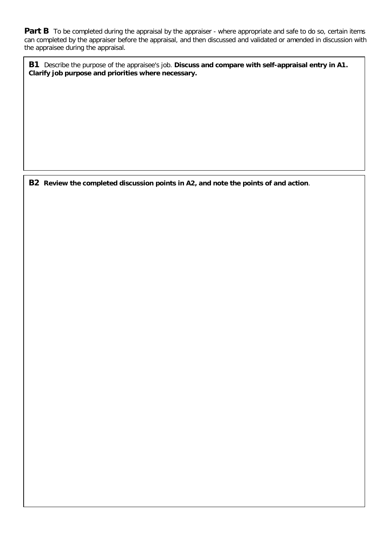**Part B** To be completed during the appraisal by the appraiser - where appropriate and safe to do so, certain items can completed by the appraiser before the appraisal, and then discussed and validated or amended in discussion with the appraisee during the appraisal.

**B1** Describe the purpose of the appraisee's job. **Discuss and compare with self-appraisal entry in A1. Clarify job purpose and priorities where necessary.**

**B2 Review the completed discussion points in A2, and note the points of and action**.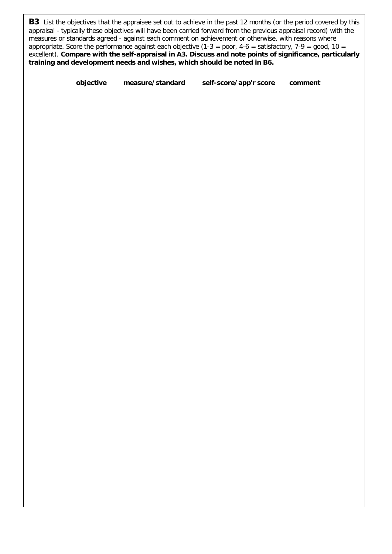**B3** List the objectives that the appraisee set out to achieve in the past 12 months (or the period covered by this appraisal - typically these objectives will have been carried forward from the previous appraisal record) with the measures or standards agreed - against each comment on achievement or otherwise, with reasons where appropriate. Score the performance against each objective (1-3 = poor, 4-6 = satisfactory, 7-9 = good, 10 = excellent). **Compare with the self-appraisal in A3. Discuss and note points of significance, particularly training and development needs and wishes, which should be noted in B6.**

**objective measure/standard self-score/app'r score comment**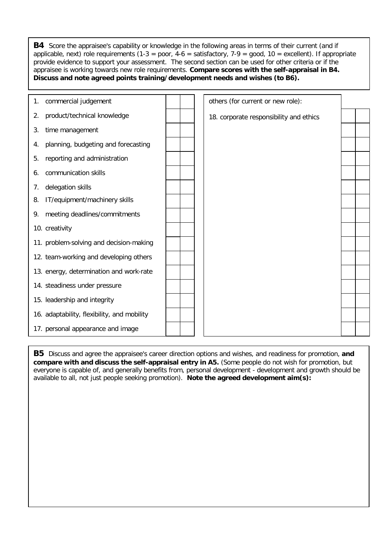**B4** Score the appraisee's capability or knowledge in the following areas in terms of their current (and if applicable, next) role requirements (1-3 = poor, 4-6 = satisfactory, 7-9 = qood, 10 = excellent). If appropriate provide evidence to support your assessment. The second section can be used for other criteria or if the appraisee is working towards new role requirements. **Compare scores with the self-appraisal in B4. Discuss and note agreed points training/development needs and wishes (to B6).**

| 1. | commercial judgement                        |  | others (for current or new role):       |  |
|----|---------------------------------------------|--|-----------------------------------------|--|
| 2. | product/technical knowledge                 |  | 18. corporate responsibility and ethics |  |
| 3. | time management                             |  |                                         |  |
| 4. | planning, budgeting and forecasting         |  |                                         |  |
| 5. | reporting and administration                |  |                                         |  |
| 6. | communication skills                        |  |                                         |  |
| 7. | delegation skills                           |  |                                         |  |
| 8. | IT/equipment/machinery skills               |  |                                         |  |
| 9. | meeting deadlines/commitments               |  |                                         |  |
|    | 10. creativity                              |  |                                         |  |
|    | 11. problem-solving and decision-making     |  |                                         |  |
|    | 12. team-working and developing others      |  |                                         |  |
|    | 13. energy, determination and work-rate     |  |                                         |  |
|    | 14. steadiness under pressure               |  |                                         |  |
|    | 15. leadership and integrity                |  |                                         |  |
|    | 16. adaptability, flexibility, and mobility |  |                                         |  |
|    | 17. personal appearance and image           |  |                                         |  |

**B5** Discuss and agree the appraisee's career direction options and wishes, and readiness for promotion, **and compare with and discuss the self-appraisal entry in A5.** (Some people do not wish for promotion, but everyone is capable of, and generally benefits from, personal development - development and growth should be available to all, not just people seeking promotion). **Note the agreed development aim(s):**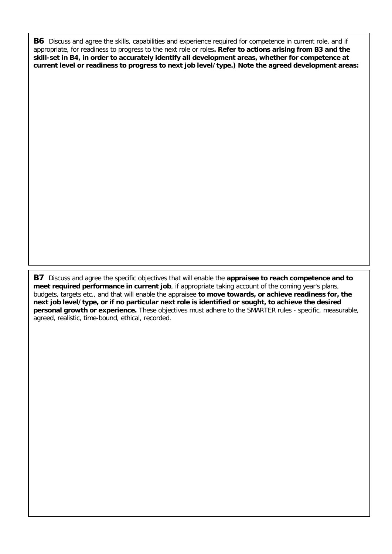**B6** Discuss and agree the skills, capabilities and experience required for competence in current role, and if appropriate, for readiness to progress to the next role or roles**. Refer to actions arising from B3 and the skill-set in B4, in order to accurately identify all development areas, whether for competence at current level or readiness to progress to next job level/type.) Note the agreed development areas:**

**B7** Discuss and agree the specific objectives that will enable the **appraisee to reach competence and to meet required performance in current job**, if appropriate taking account of the coming year's plans, budgets, targets etc., and that will enable the appraisee **to move towards, or achieve readiness for, the next job level/type, or if no particular next role is identified or sought, to achieve the desired personal growth or experience.** These objectives must adhere to the SMARTER rules - specific, measurable, agreed, realistic, time-bound, ethical, recorded.